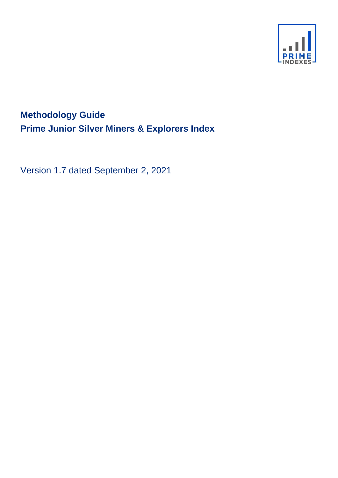

# **Methodology Guide Prime Junior Silver Miners & Explorers Index**

Version 1.7 dated September 2, 2021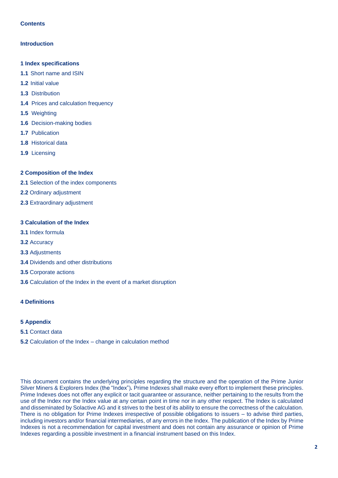# **Contents**

## **Introduction**

- **1 Index specifications**
- **1.1** Short name and ISIN
- **1.2** Initial value
- **1.3** Distribution
- **1.4** Prices and calculation frequency
- **1.5** Weighting
- **1.6** Decision-making bodies
- **1.7** Publication
- **1.8** Historical data
- **1.9** Licensing

## **2 Composition of the Index**

- **2.1** Selection of the index components
- **2.2** Ordinary adjustment
- **2.3** Extraordinary adjustment

## **3 Calculation of the Index**

- **3.1** Index formula
- **3.2** Accuracy
- **3.3** Adjustments
- **3.4** Dividends and other distributions
- **3.5** Corporate actions
- **3.6** Calculation of the Index in the event of a market disruption

## **4 Definitions**

## **5 Appendix**

- **5.1** Contact data
- **5.2** Calculation of the Index change in calculation method

This document contains the underlying principles regarding the structure and the operation of the Prime Junior Silver Miners & Explorers Index (the "Index")*.* Prime Indexes shall make every effort to implement these principles. Prime Indexes does not offer any explicit or tacit guarantee or assurance, neither pertaining to the results from the use of the Index nor the Index value at any certain point in time nor in any other respect. The Index is calculated and disseminated by Solactive AG and it strives to the best of its ability to ensure the correctness of the calculation. There is no obligation for Prime Indexes irrespective of possible obligations to issuers – to advise third parties, including investors and/or financial intermediaries, of any errors in the Index. The publication of the Index by Prime Indexes is not a recommendation for capital investment and does not contain any assurance or opinion of Prime Indexes regarding a possible investment in a financial instrument based on this Index.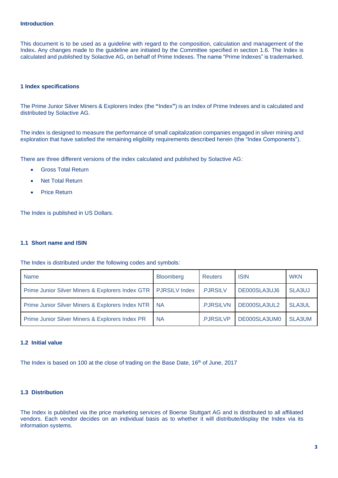#### **Introduction**

This document is to be used as a guideline with regard to the composition, calculation and management of the Index**.** Any changes made to the guideline are initiated by the Committee specified in section 1.6. The Index is calculated and published by Solactive AG, on behalf of Prime Indexes. The name "Prime Indexes" is trademarked.

#### **1 Index specifications**

The Prime Junior Silver Miners & Explorers Index (the **"**Index**"**) is an Index of Prime Indexes and is calculated and distributed by Solactive AG.

The index is designed to measure the performance of small capitalization companies engaged in silver mining and exploration that have satisfied the remaining eligibility requirements described herein (the "Index Components").

There are three different versions of the index calculated and published by Solactive AG:

- Gross Total Return
- **Net Total Return**
- Price Return

The Index is published in US Dollars.

## **1.1 Short name and ISIN**

The Index is distributed under the following codes and symbols:

| <b>Name</b>                                                      | <b>Bloomberg</b> | <b>Reuters</b> | <b>ISIN</b>  | <b>WKN</b>    |
|------------------------------------------------------------------|------------------|----------------|--------------|---------------|
| Prime Junior Silver Miners & Explorers Index GTR   PJRSILV Index |                  | .PJRSILV       | DE000SLA3UJ6 | SLA3UJ        |
| Prime Junior Silver Miners & Explorers Index NTR   NA            |                  | .PJRSILVN      | DE000SLA3UL2 | <b>SLA3UL</b> |
| Prime Junior Silver Miners & Explorers Index PR                  | <b>NA</b>        | .PJRSILVP      | DE000SLA3UM0 | SLA3UM        |

#### **1.2 Initial value**

The Index is based on 100 at the close of trading on the Base Date, 16th of June, 2017

# **1.3 Distribution**

The Index is published via the price marketing services of Boerse Stuttgart AG and is distributed to all affiliated vendors. Each vendor decides on an individual basis as to whether it will distribute/display the Index via its information systems.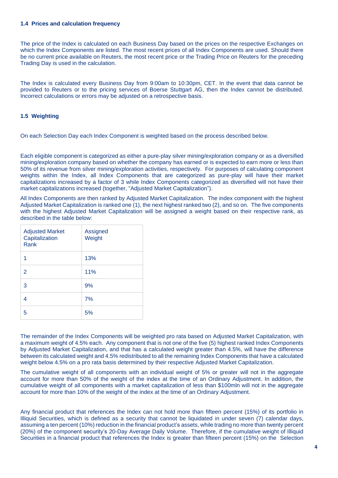#### **1.4 Prices and calculation frequency**

The price of the Index is calculated on each Business Day based on the prices on the respective Exchanges on which the Index Components are listed. The most recent prices of all Index Components are used. Should there be no current price available on Reuters, the most recent price or the Trading Price on Reuters for the preceding Trading Day is used in the calculation.

The Index is calculated every Business Day from 9:00am to 10:30pm, CET. In the event that data cannot be provided to Reuters or to the pricing services of Boerse Stuttgart AG, then the Index cannot be distributed. Incorrect calculations or errors may be adjusted on a retrospective basis.

## **1.5 Weighting**

On each Selection Day each Index Component is weighted based on the process described below.

Each eligible component is categorized as either a pure-play silver mining/exploration company or as a diversified mining/exploration company based on whether the company has earned or is expected to earn more or less than 50% of its revenue from silver mining/exploration activities, respectively. For purposes of calculating component weights within the Index, all Index Components that are categorized as pure-play will have their market capitalizations increased by a factor of 3 while Index Components categorized as diversified will not have their market capitalizations increased (together, "Adjusted Market Capitalization").

All Index Components are then ranked by Adjusted Market Capitalization. The index component with the highest Adjusted Market Capitalization is ranked one (1), the next highest ranked two (2), and so on. The five components with the highest Adjusted Market Capitalization will be assigned a weight based on their respective rank, as described in the table below:

| <b>Adjusted Market</b><br>Capitalization<br>Rank | Assigned<br>Weight |
|--------------------------------------------------|--------------------|
| 1                                                | 13%                |
| 2                                                | 11%                |
| 3                                                | 9%                 |
|                                                  | 7%                 |
| 5                                                | 5%                 |

The remainder of the Index Components will be weighted pro rata based on Adjusted Market Capitalization, with a maximum weight of 4.5% each. Any component that is not one of the five (5) highest ranked Index Components by Adjusted Market Capitalization, and that has a calculated weight greater than 4.5%, will have the difference between its calculated weight and 4.5% redistributed to all the remaining Index Components that have a calculated weight below 4.5% on a pro rata basis determined by their respective Adjusted Market Capitalization.

The cumulative weight of all components with an individual weight of 5% or greater will not in the aggregate account for more than 50% of the weight of the index at the time of an Ordinary Adjustment. In addition, the cumulative weight of all components with a market capitalization of less than \$100mln will not in the aggregate account for more than 10% of the weight of the index at the time of an Ordinary Adjustment.

Any financial product that references the Index can not hold more than fifteen percent (15%) of its portfolio in Illiquid Securities, which is defined as a security that cannot be liquidated in under seven (7) calendar days, assuming a ten percent (10%) reduction in the financial product's assets, while trading no more than twenty percent (20%) of the component security's 20-Day Average Daily Volume. Therefore, if the cumulative weight of Illiquid Securities in a financial product that references the Index is greater than fifteen percent (15%) on the Selection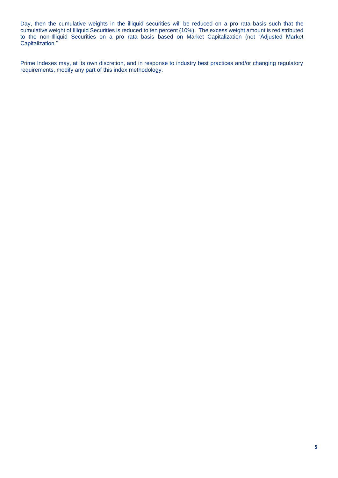Day, then the cumulative weights in the illiquid securities will be reduced on a pro rata basis such that the cumulative weight of Illiquid Securities is reduced to ten percent (10%). The excess weight amount is redistributed to the non-Illiquid Securities on a pro rata basis based on Market Capitalization (not "Adjusted Market Capitalization."

Prime Indexes may, at its own discretion, and in response to industry best practices and/or changing regulatory requirements, modify any part of this index methodology.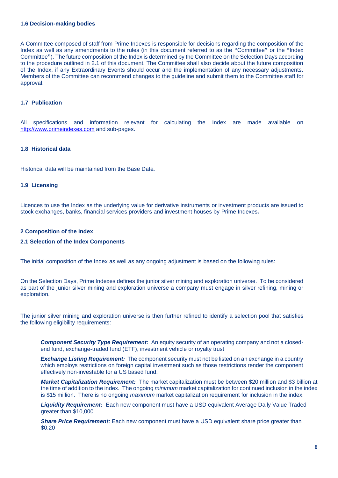#### **1.6 Decision-making bodies**

A Committee composed of staff from Prime Indexes is responsible for decisions regarding the composition of the Index as well as any amendments to the rules (in this document referred to as the **"**Committee**"** or the **"**Index Committee**"**). The future composition of the Index is determined by the Committee on the Selection Days according to the procedure outlined in 2.1 of this document. The Committee shall also decide about the future composition of the Index, if any Extraordinary Events should occur and the implementation of any necessary adjustments. Members of the Committee can recommend changes to the guideline and submit them to the Committee staff for approval.

## **1.7 Publication**

All specifications and information relevant for calculating the Index are made available on [http://www.primeindexes.com](http://www.primeindexes.com/) and sub-pages.

## **1.8 Historical data**

Historical data will be maintained from the Base Date*.* 

#### **1.9 Licensing**

Licences to use the Index as the underlying value for derivative instruments or investment products are issued to stock exchanges, banks, financial services providers and investment houses by Prime Indexes*.*

#### **2 Composition of the Index**

#### **2.1 Selection of the Index Components**

The initial composition of the Index as well as any ongoing adjustment is based on the following rules:

On the Selection Days, Prime Indexes defines the junior silver mining and exploration universe. To be considered as part of the junior silver mining and exploration universe a company must engage in silver refining, mining or exploration.

The junior silver mining and exploration universe is then further refined to identify a selection pool that satisfies the following eligibility requirements:

*Component Security Type Requirement:* An equity security of an operating company and not a closedend fund, exchange-traded fund (ETF), investment vehicle or royalty trust

*Exchange Listing Requirement:* The component security must not be listed on an exchange in a country which employs restrictions on foreign capital investment such as those restrictions render the component effectively non-investable for a US based fund.

*Market Capitalization Requirement:* The market capitalization must be between \$20 million and \$3 billion at the time of addition to the index. The ongoing *minimum* market capitalization for continued inclusion in the index is \$15 million. There is no ongoing *maximum* market capitalization requirement for inclusion in the index.

*Liquidity Requirement:* Each new component must have a USD equivalent Average Daily Value Traded greater than \$10,000

**Share Price Requirement:** Each new component must have a USD equivalent share price greater than \$0.20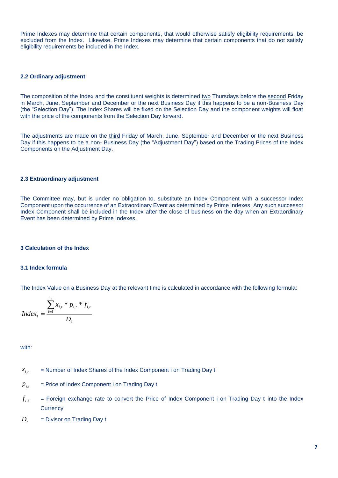Prime Indexes may determine that certain components, that would otherwise satisfy eligibility requirements, be excluded from the Index. Likewise, Prime Indexes may determine that certain components that do not satisfy eligibility requirements be included in the Index.

## **2.2 Ordinary adjustment**

The composition of the Index and the constituent weights is determined two Thursdays before the second Friday in March, June, September and December or the next Business Day if this happens to be a non-Business Day (the "Selection Day"). The Index Shares will be fixed on the Selection Day and the component weights will float with the price of the components from the Selection Day forward.

The adjustments are made on the third Friday of March, June, September and December or the next Business Day if this happens to be a non- Business Day (the "Adjustment Day") based on the Trading Prices of the Index Components on the Adjustment Day.

#### **2.3 Extraordinary adjustment**

The Committee may, but is under no obligation to, substitute an Index Component with a successor Index Component upon the occurrence of an Extraordinary Event as determined by Prime Indexes. Any such successor Index Component shall be included in the Index after the close of business on the day when an Extraordinary Event has been determined by Prime Indexes.

#### **3 Calculation of the Index**

#### **3.1 Index formula**

The Index Value on a Business Day at the relevant time is calculated in accordance with the following formula:

$$
Index_{t} = \frac{\sum_{i=1}^{n} x_{i,t} * p_{i,t} * f_{i,t}}{D_{t}}
$$

with:

- = Number of Index Shares of the Index Component i on Trading Day t  $x_{i,t}$
- = Price of Index Component i on Trading Day t  $p_{i}$
- = Foreign exchange rate to convert the Price of Index Component i on Trading Day t into the Index **Currency**  $f_{_{i,t}}$
- = Divisor on Trading Day t  $D_{t}$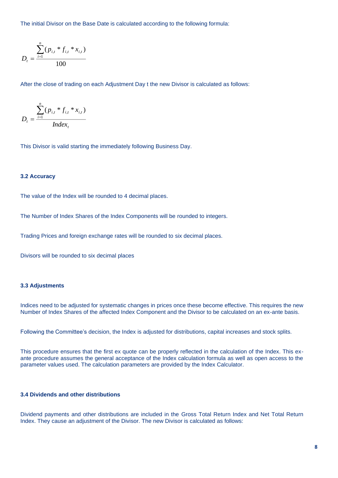The initial Divisor on the Base Date is calculated according to the following formula:

$$
D_{t} = \frac{\sum_{i=1}^{n} (p_{i,t} * f_{i,t} * x_{i,t})}{100}
$$

After the close of trading on each Adjustment Day t the new Divisor is calculated as follows:

$$
D_{t} = \frac{\sum_{i=1}^{n} (p_{i,t} * f_{i,t} * x_{i,t})}{Index_{t}}
$$

This Divisor is valid starting the immediately following Business Day.

## **3.2 Accuracy**

The value of the Index will be rounded to 4 decimal places.

The Number of Index Shares of the Index Components will be rounded to integers.

Trading Prices and foreign exchange rates will be rounded to six decimal places.

Divisors will be rounded to six decimal places

## **3.3 Adjustments**

Indices need to be adjusted for systematic changes in prices once these become effective. This requires the new Number of Index Shares of the affected Index Component and the Divisor to be calculated on an ex-ante basis.

Following the Committee's decision, the Index is adjusted for distributions, capital increases and stock splits.

This procedure ensures that the first ex quote can be properly reflected in the calculation of the Index. This exante procedure assumes the general acceptance of the Index calculation formula as well as open access to the parameter values used. The calculation parameters are provided by the Index Calculator.

# **3.4 Dividends and other distributions**

Dividend payments and other distributions are included in the Gross Total Return Index and Net Total Return Index. They cause an adjustment of the Divisor. The new Divisor is calculated as follows: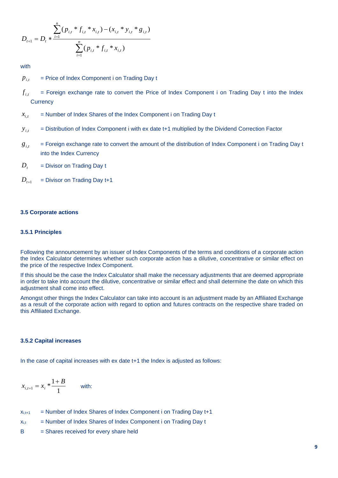$$
D_{t+1} = D_t * \frac{\sum_{i=1}^n (p_{i,t} * f_{i,t} * x_{i,t}) - (x_{i,t} * y_{i,t} * g_{i,t})}{\sum_{i=1}^n (p_{i,t} * f_{i,t} * x_{i,t})}
$$

with

- = Price of Index Component i on Trading Day t  $p_{i,t}$
- = Foreign exchange rate to convert the Price of Index Component i on Trading Day t into the Index **Currency**  $f_{_{i,t}}$
- = Number of Index Shares of the Index Component i on Trading Day t  $x_{i,t}$
- = Distribution of Index Component i with ex date t+1 multiplied by the Dividend Correction Factor  $y_{i,t}$
- = Foreign exchange rate to convert the amount of the distribution of Index Component i on Trading Day t into the Index Currency  $g_{i,t}$

= Divisor on Trading Day t  $D_{t}$ 

= Divisor on Trading Day t+1  $D_{t+1}$ 

#### **3.5 Corporate actions**

## **3.5.1 Principles**

Following the announcement by an issuer of Index Components of the terms and conditions of a corporate action the Index Calculator determines whether such corporate action has a dilutive, concentrative or similar effect on the price of the respective Index Component.

If this should be the case the Index Calculator shall make the necessary adjustments that are deemed appropriate in order to take into account the dilutive, concentrative or similar effect and shall determine the date on which this adiustment shall come into effect.

Amongst other things the Index Calculator can take into account is an adjustment made by an Affiliated Exchange as a result of the corporate action with regard to option and futures contracts on the respective share traded on this Affiliated Exchange.

#### **3.5.2 Capital increases**

In the case of capital increases with ex date t+1 the Index is adjusted as follows:

$$
x_{i,t+1} = x_i \cdot \frac{1+B}{1}
$$
 with:

 $x_{i,t+1}$  = Number of Index Shares of Index Component i on Trading Day  $t+1$ 

 $x_{i,t}$  = Number of Index Shares of Index Component i on Trading Day t

B = Shares received for every share held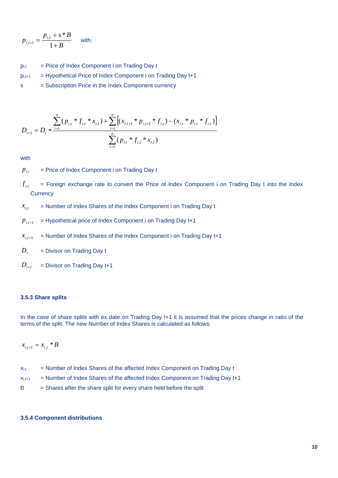$$
p_{i,t+1} = \frac{p_{i,t} + s * B}{1 + B}
$$
 with:

- $p_{i,t}$  = Price of Index Component i on Trading Day t
- $p_{i,t+1}$  = Hypothetical Price of Index Component i on Trading Day  $t+1$
- s = Subscription Price in the Index Component currency

$$
D_{t+1} = D_t * \frac{\sum_{i=1}^n (p_{i,t} * f_{i,t} * x_{i,t}) + \sum_{i=1}^n \left[ (x_{i,t+1} * p_{i,t+1} * f_{i,t}) - (x_{i,t} * p_{i,t} * f_{i,t}) \right]}{\sum_{i=1}^n (p_{i,t} * f_{i,t} * x_{i,t})}
$$

with

= Price of Index Component i on Trading Day t  $p_{i}$ 

= Foreign exchange rate to convert the Price of Index Component i on Trading Day t into the Index **Currency**  $f_{i.t}$ ,

- = Number of Index Shares of the Index Component i on Trading Day t  $x_{i,t}$
- = Hypothetical price of Index Component i on Trading Day t+1  $p_{i,t+1}$
- = Number of Index Shares of the Index Component i on Trading Day t+1  $x_{i,t+1}$
- = Divisor on Trading Day t  $D_t$
- = Divisor on Trading Day t+1 *D<sup>t</sup>*+<sup>1</sup>

## **3.5.3 Share splits**

In the case of share splits with ex date on Trading Day t+1 it is assumed that the prices change in ratio of the terms of the split. The new Number of Index Shares is calculated as follows:

 $x_{i,t+1} = x_{i,t} * B$ 

| $X_{i,t}$ | = Number of Index Shares of the affected Index Component on Trading Day t |  |  |  |  |
|-----------|---------------------------------------------------------------------------|--|--|--|--|
|-----------|---------------------------------------------------------------------------|--|--|--|--|

- $x_{i,t+1}$  = Number of Index Shares of the affected Index Component on Trading Day  $t+1$
- $B =$  Shares after the share split for every share held before the split

#### **3.5.4 Component distributions**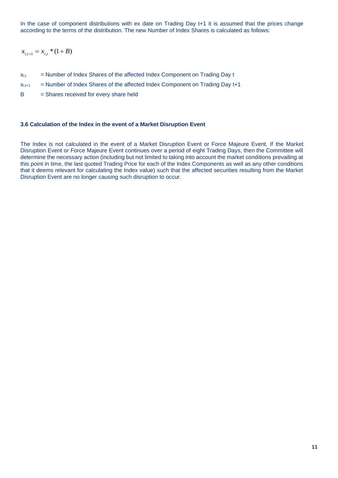In the case of component distributions with ex date on Trading Day t+1 it is assumed that the prices change according to the terms of the distribution. The new Number of Index Shares is calculated as follows:

 $x_{i,t+1} = x_{i,t} * (1 + B)$ 

- $x<sub>it</sub>$  = Number of Index Shares of the affected Index Component on Trading Day t
- $x_{i,t+1}$  = Number of Index Shares of the affected Index Component on Trading Day  $t+1$
- B = Shares received for every share held

#### **3.6 Calculation of the Index in the event of a Market Disruption Event**

The Index is not calculated in the event of a Market Disruption Event or Force Majeure Event. If the Market Disruption Event or Force Majeure Event continues over a period of eight Trading Days, then the Committee will determine the necessary action (including but not limited to taking into account the market conditions prevailing at this point in time, the last quoted Trading Price for each of the Index Components as well as any other conditions that it deems relevant for calculating the Index value) such that the affected securities resulting from the Market Disruption Event are no longer causing such disruption to occur.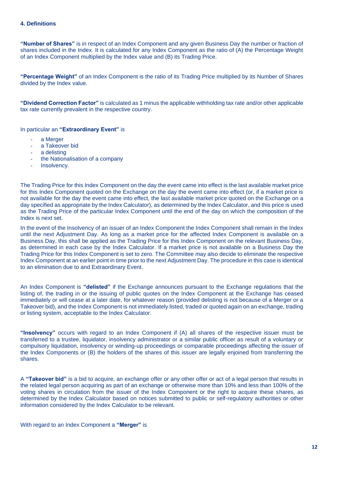**"Number of Shares"** is in respect of an Index Component and any given Business Day the number or fraction of shares included in the Index. It is calculated for any Index Component as the ratio of (A) the Percentage Weight of an Index Component multiplied by the Index value and (B) its Trading Price.

**"Percentage Weight"** of an Index Component is the ratio of its Trading Price multiplied by its Number of Shares divided by the Index value.

**"Dividend Correction Factor"** is calculated as 1 minus the applicable withholding tax rate and/or other applicable tax rate currently prevalent in the respective country.

In particular an **"Extraordinary Event"** is

- a Merger
- a Takeover bid
- a delisting
- the Nationalisation of a company
- Insolvency.

The Trading Price for this Index Component on the day the event came into effect is the last available market price for this Index Component quoted on the Exchange on the day the event came into effect (or, if a market price is not available for the day the event came into effect, the last available market price quoted on the Exchange on a day specified as appropriate by the Index Calculator), as determined by the Index Calculator, and this price is used as the Trading Price of the particular Index Component until the end of the day on which the composition of the Index is next set.

In the event of the Insolvency of an issuer of an Index Component the Index Component shall remain in the Index until the next Adjustment Day. As long as a market price for the affected Index Component is available on a Business Day, this shall be applied as the Trading Price for this Index Component on the relevant Business Day, as determined in each case by the Index Calculator. If a market price is not available on a Business Day the Trading Price for this Index Component is set to zero. The Committee may also decide to eliminate the respective Index Component at an earlier point in time prior to the next Adjustment Day. The procedure in this case is identical to an elimination due to and Extraordinary Event.

An Index Component is **"delisted"** if the Exchange announces pursuant to the Exchange regulations that the listing of, the trading in or the issuing of public quotes on the Index Component at the Exchange has ceased immediately or will cease at a later date, for whatever reason (provided delisting is not because of a Merger or a Takeover bid), and the Index Component is not immediately listed, traded or quoted again on an exchange, trading or listing system, acceptable to the Index Calculator.

**"Insolvency"** occurs with regard to an Index Component if (A) all shares of the respective issuer must be transferred to a trustee, liquidator, insolvency administrator or a similar public officer as result of a voluntary or compulsory liquidation, insolvency or winding-up proceedings or comparable proceedings affecting the issuer of the Index Components or (B) the holders of the shares of this issuer are legally enjoined from transferring the shares.

A **"Takeover bid"** is a bid to acquire, an exchange offer or any other offer or act of a legal person that results in the related legal person acquiring as part of an exchange or otherwise more than 10% and less than 100% of the voting shares in circulation from the issuer of the Index Component or the right to acquire these shares, as determined by the Index Calculator based on notices submitted to public or self-regulatory authorities or other information considered by the Index Calculator to be relevant.

With regard to an Index Component a **"Merger"** is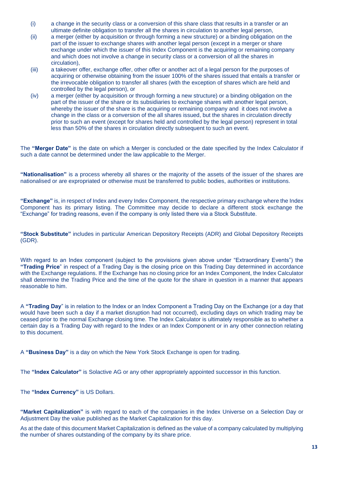- (i) a change in the security class or a conversion of this share class that results in a transfer or an ultimate definite obligation to transfer all the shares in circulation to another legal person,
- (ii) a merger (either by acquisition or through forming a new structure) or a binding obligation on the part of the issuer to exchange shares with another legal person (except in a merger or share exchange under which the issuer of this Index Component is the acquiring or remaining company and which does not involve a change in security class or a conversion of all the shares in circulation),
- (iii) a takeover offer, exchange offer, other offer or another act of a legal person for the purposes of acquiring or otherwise obtaining from the issuer 100% of the shares issued that entails a transfer or the irrevocable obligation to transfer all shares (with the exception of shares which are held and controlled by the legal person), or
- (iv) a merger (either by acquisition or through forming a new structure) or a binding obligation on the part of the issuer of the share or its subsidiaries to exchange shares with another legal person, whereby the issuer of the share is the acquiring or remaining company and it does not involve a change in the class or a conversion of the all shares issued, but the shares in circulation directly prior to such an event (except for shares held and controlled by the legal person) represent in total less than 50% of the shares in circulation directly subsequent to such an event.

The **"Merger Date"** is the date on which a Merger is concluded or the date specified by the Index Calculator if such a date cannot be determined under the law applicable to the Merger.

**"Nationalisation"** is a process whereby all shares or the majority of the assets of the issuer of the shares are nationalised or are expropriated or otherwise must be transferred to public bodies, authorities or institutions.

**"Exchange"** is, in respect of Index and every Index Component, the respective primary exchange where the Index Component has its primary listing. The Committee may decide to declare a different stock exchange the "Exchange" for trading reasons, even if the company is only listed there via a Stock Substitute.

**"Stock Substitute"** includes in particular American Depository Receipts (ADR) and Global Depository Receipts (GDR).

With regard to an Index component (subject to the provisions given above under "Extraordinary Events") the **"Trading Price**" in respect of a Trading Day is the closing price on this Trading Day determined in accordance with the Exchange regulations. If the Exchange has no closing price for an Index Component, the Index Calculator shall determine the Trading Price and the time of the quote for the share in question in a manner that appears reasonable to him.

A **"Trading Day**" is in relation to the Index or an Index Component a Trading Day on the Exchange (or a day that would have been such a day if a market disruption had not occurred), excluding days on which trading may be ceased prior to the normal Exchange closing time. The Index Calculator is ultimately responsible as to whether a certain day is a Trading Day with regard to the Index or an Index Component or in any other connection relating to this document.

A **"Business Day"** is a day on which the New York Stock Exchange is open for trading.

The **"Index Calculator"** is Solactive AG or any other appropriately appointed successor in this function.

The **"Index Currency"** is US Dollars.

**"Market Capitalization"** is with regard to each of the companies in the Index Universe on a Selection Day or Adjustment Day the value published as the Market Capitalization for this day.

As at the date of this document Market Capitalization is defined as the value of a company calculated by multiplying the number of shares outstanding of the company by its share price.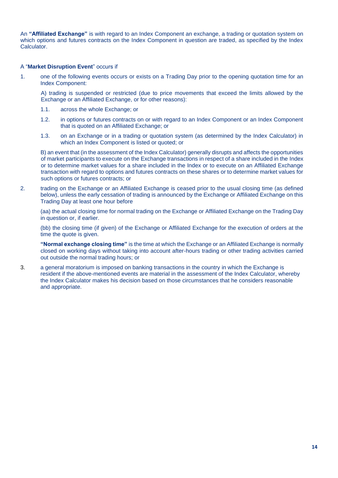An **"Affiliated Exchange"** is with regard to an Index Component an exchange, a trading or quotation system on which options and futures contracts on the Index Component in question are traded, as specified by the Index Calculator.

## A "**Market Disruption Event**" occurs if

1. one of the following events occurs or exists on a Trading Day prior to the opening quotation time for an Index Component:

A) trading is suspended or restricted (due to price movements that exceed the limits allowed by the Exchange or an Affiliated Exchange, or for other reasons):

- 1.1. across the whole Exchange; or
- 1.2. in options or futures contracts on or with regard to an Index Component or an Index Component that is quoted on an Affiliated Exchange; or
- 1.3. on an Exchange or in a trading or quotation system (as determined by the Index Calculator) in which an Index Component is listed or quoted; or

B) an event that (in the assessment of the Index Calculator) generally disrupts and affects the opportunities of market participants to execute on the Exchange transactions in respect of a share included in the Index or to determine market values for a share included in the Index or to execute on an Affiliated Exchange transaction with regard to options and futures contracts on these shares or to determine market values for such options or futures contracts; or

2. trading on the Exchange or an Affiliated Exchange is ceased prior to the usual closing time (as defined below), unless the early cessation of trading is announced by the Exchange or Affiliated Exchange on this Trading Day at least one hour before

(aa) the actual closing time for normal trading on the Exchange or Affiliated Exchange on the Trading Day in question or, if earlier.

(bb) the closing time (if given) of the Exchange or Affiliated Exchange for the execution of orders at the time the quote is given.

**"Normal exchange closing time"** is the time at which the Exchange or an Affiliated Exchange is normally closed on working days without taking into account after-hours trading or other trading activities carried out outside the normal trading hours; or

3. a general moratorium is imposed on banking transactions in the country in which the Exchange is resident if the above-mentioned events are material in the assessment of the Index Calculator, whereby the Index Calculator makes his decision based on those circumstances that he considers reasonable and appropriate.